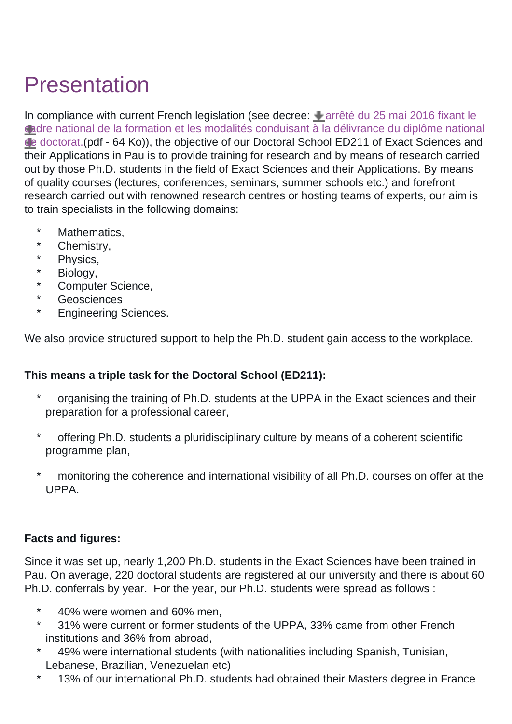## Presentation

In compliance with current French legislation (see decree:  $\triangleq$  [arrêté du 25 mai 2016 fixant le](https://ed-sea.univ-pau.fr/_resources/Documents/Inscription/153297_Arr__t___25_mai_2016_fixant_le_cadre_national_de_formation_et_d__livrance_doctorat.pdf?download=true) [cadre national de la formation et les modalités conduisant à la délivrance du diplôme national](https://ed-sea.univ-pau.fr/_resources/Documents/Inscription/153297_Arr__t___25_mai_2016_fixant_le_cadre_national_de_formation_et_d__livrance_doctorat.pdf?download=true) [de doctorat.\(](https://ed-sea.univ-pau.fr/_resources/Documents/Inscription/153297_Arr__t___25_mai_2016_fixant_le_cadre_national_de_formation_et_d__livrance_doctorat.pdf?download=true)pdf - 64 Ko)), the objective of our Doctoral School ED211 of Exact Sciences and their Applications in Pau is to provide training for research and by means of research carried out by those Ph.D. students in the field of Exact Sciences and their Applications. By means of quality courses (lectures, conferences, seminars, summer schools etc.) and forefront research carried out with renowned research centres or hosting teams of experts, our aim is to train specialists in the following domains:

- \* Mathematics,
- \* Chemistry,
- \* Physics,
- \* Biology,
- \* Computer Science,
- \* Geosciences
- \* Engineering Sciences.

We also provide structured support to help the Ph.D. student gain access to the workplace.

## **This means a triple task for the Doctoral School (ED211):**

- organising the training of Ph.D. students at the UPPA in the Exact sciences and their preparation for a professional career,
- offering Ph.D. students a pluridisciplinary culture by means of a coherent scientific programme plan,
- monitoring the coherence and international visibility of all Ph.D. courses on offer at the UPPA.

## **Facts and figures:**

Since it was set up, nearly 1,200 Ph.D. students in the Exact Sciences have been trained in Pau. On average, 220 doctoral students are registered at our university and there is about 60 Ph.D. conferrals by year. For the year, our Ph.D. students were spread as follows :

- \* 40% were women and 60% men,
- \* 31% were current or former students of the UPPA, 33% came from other French institutions and 36% from abroad,
- 49% were international students (with nationalities including Spanish, Tunisian, Lebanese, Brazilian, Venezuelan etc)
- \* 13% of our international Ph.D. students had obtained their Masters degree in France